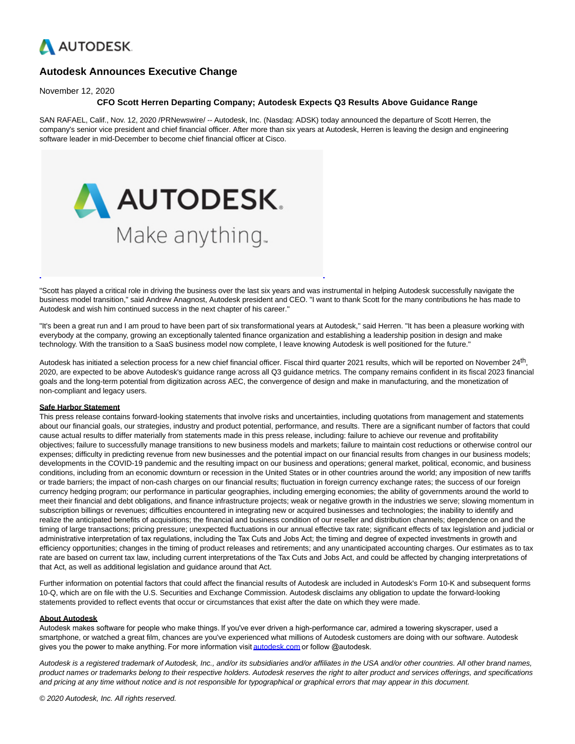

## **Autodesk Announces Executive Change**

November 12, 2020

## **CFO Scott Herren Departing Company; Autodesk Expects Q3 Results Above Guidance Range**

SAN RAFAEL, Calif., Nov. 12, 2020 /PRNewswire/ -- Autodesk, Inc. (Nasdaq: ADSK) today announced the departure of Scott Herren, the company's senior vice president and chief financial officer. After more than six years at Autodesk, Herren is leaving the design and engineering software leader in mid-December to become chief financial officer at Cisco.



"Scott has played a critical role in driving the business over the last six years and was instrumental in helping Autodesk successfully navigate the business model transition," said Andrew Anagnost, Autodesk president and CEO. "I want to thank Scott for the many contributions he has made to Autodesk and wish him continued success in the next chapter of his career."

"It's been a great run and I am proud to have been part of six transformational years at Autodesk," said Herren. "It has been a pleasure working with everybody at the company, growing an exceptionally talented finance organization and establishing a leadership position in design and make technology. With the transition to a SaaS business model now complete, I leave knowing Autodesk is well positioned for the future."

Autodesk has initiated a selection process for a new chief financial officer. Fiscal third quarter 2021 results, which will be reported on November 24<sup>th</sup>, 2020, are expected to be above Autodesk's guidance range across all Q3 guidance metrics. The company remains confident in its fiscal 2023 financial goals and the long-term potential from digitization across AEC, the convergence of design and make in manufacturing, and the monetization of non-compliant and legacy users.

## **Safe Harbor Statement**

This press release contains forward-looking statements that involve risks and uncertainties, including quotations from management and statements about our financial goals, our strategies, industry and product potential, performance, and results. There are a significant number of factors that could cause actual results to differ materially from statements made in this press release, including: failure to achieve our revenue and profitability objectives; failure to successfully manage transitions to new business models and markets; failure to maintain cost reductions or otherwise control our expenses; difficulty in predicting revenue from new businesses and the potential impact on our financial results from changes in our business models; developments in the COVID-19 pandemic and the resulting impact on our business and operations; general market, political, economic, and business conditions, including from an economic downturn or recession in the United States or in other countries around the world; any imposition of new tariffs or trade barriers; the impact of non-cash charges on our financial results; fluctuation in foreign currency exchange rates; the success of our foreign currency hedging program; our performance in particular geographies, including emerging economies; the ability of governments around the world to meet their financial and debt obligations, and finance infrastructure projects; weak or negative growth in the industries we serve; slowing momentum in subscription billings or revenues; difficulties encountered in integrating new or acquired businesses and technologies; the inability to identify and realize the anticipated benefits of acquisitions; the financial and business condition of our reseller and distribution channels; dependence on and the timing of large transactions; pricing pressure; unexpected fluctuations in our annual effective tax rate; significant effects of tax legislation and judicial or administrative interpretation of tax regulations, including the Tax Cuts and Jobs Act; the timing and degree of expected investments in growth and efficiency opportunities; changes in the timing of product releases and retirements; and any unanticipated accounting charges. Our estimates as to tax rate are based on current tax law, including current interpretations of the Tax Cuts and Jobs Act, and could be affected by changing interpretations of that Act, as well as additional legislation and guidance around that Act.

Further information on potential factors that could affect the financial results of Autodesk are included in Autodesk's Form 10-K and subsequent forms 10-Q, which are on file with the U.S. Securities and Exchange Commission. Autodesk disclaims any obligation to update the forward-looking statements provided to reflect events that occur or circumstances that exist after the date on which they were made.

## **About Autodesk**

Autodesk makes software for people who make things. If you've ever driven a high-performance car, admired a towering skyscraper, used a smartphone, or watched a great film, chances are you've experienced what millions of Autodesk customers are doing with our software. Autodesk gives you the power to make anything. For more information visit [autodesk.com](https://c212.net/c/link/?t=0&l=en&o=2980238-1&h=1142957483&u=https%3A%2F%2Fc212.net%2Fc%2Flink%2F%3Ft%3D0%26l%3Den%26o%3D2966161-1%26h%3D297810429%26u%3Dhttp%253A%252F%252Fcts.businesswire.com%252Fct%252FCT%253Fid%253Dsmartlink%2526url%253Dhttp%25253A%25252F%25252Fautodesk.com%25252F%2526esheet%253D51321819%2526newsitemid%253D20160418005351%2526lan%253Den-US%2526anchor%253Dautodesk.com%2526index%253D2%2526md5%253D5b2587800ba3e7556c2122e057b08cba%26a%3Dautodesk.com&a=autodesk.com) or follow @autodesk.

Autodesk is a registered trademark of Autodesk, Inc., and/or its subsidiaries and/or affiliates in the USA and/or other countries. All other brand names, product names or trademarks belong to their respective holders. Autodesk reserves the right to alter product and services offerings, and specifications and pricing at any time without notice and is not responsible for typographical or graphical errors that may appear in this document.